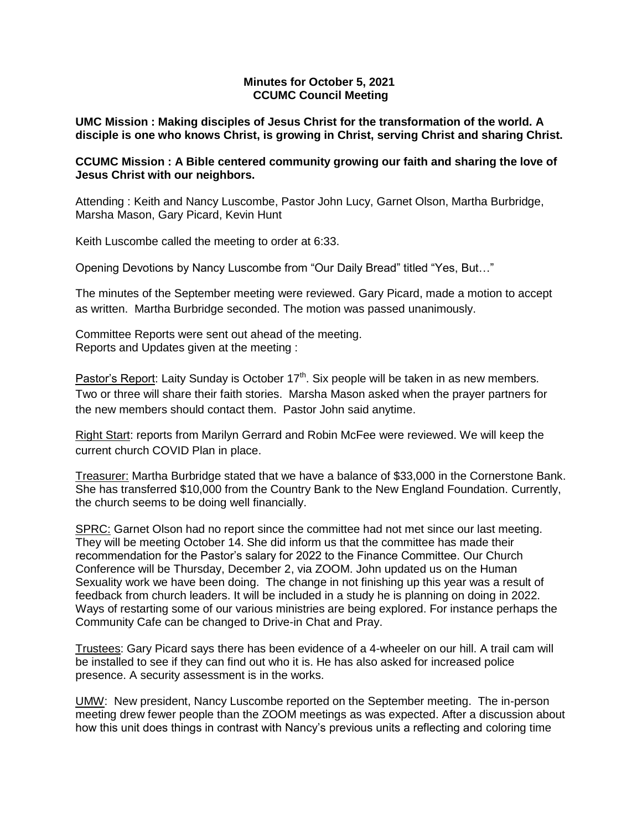## **Minutes for October 5, 2021 CCUMC Council Meeting**

**UMC Mission : Making disciples of Jesus Christ for the transformation of the world. A disciple is one who knows Christ, is growing in Christ, serving Christ and sharing Christ.**

# **CCUMC Mission : A Bible centered community growing our faith and sharing the love of Jesus Christ with our neighbors.**

Attending : Keith and Nancy Luscombe, Pastor John Lucy, Garnet Olson, Martha Burbridge, Marsha Mason, Gary Picard, Kevin Hunt

Keith Luscombe called the meeting to order at 6:33.

Opening Devotions by Nancy Luscombe from "Our Daily Bread" titled "Yes, But…"

The minutes of the September meeting were reviewed. Gary Picard, made a motion to accept as written. Martha Burbridge seconded. The motion was passed unanimously.

Committee Reports were sent out ahead of the meeting. Reports and Updates given at the meeting :

Pastor's Report: Laity Sunday is October  $17<sup>th</sup>$ . Six people will be taken in as new members. Two or three will share their faith stories. Marsha Mason asked when the prayer partners for the new members should contact them. Pastor John said anytime.

Right Start: reports from Marilyn Gerrard and Robin McFee were reviewed. We will keep the current church COVID Plan in place.

Treasurer: Martha Burbridge stated that we have a balance of \$33,000 in the Cornerstone Bank. She has transferred \$10,000 from the Country Bank to the New England Foundation. Currently, the church seems to be doing well financially.

SPRC: Garnet Olson had no report since the committee had not met since our last meeting. They will be meeting October 14. She did inform us that the committee has made their recommendation for the Pastor's salary for 2022 to the Finance Committee. Our Church Conference will be Thursday, December 2, via ZOOM. John updated us on the Human Sexuality work we have been doing. The change in not finishing up this year was a result of feedback from church leaders. It will be included in a study he is planning on doing in 2022. Ways of restarting some of our various ministries are being explored. For instance perhaps the Community Cafe can be changed to Drive-in Chat and Pray.

Trustees: Gary Picard says there has been evidence of a 4-wheeler on our hill. A trail cam will be installed to see if they can find out who it is. He has also asked for increased police presence. A security assessment is in the works.

UMW: New president, Nancy Luscombe reported on the September meeting. The in-person meeting drew fewer people than the ZOOM meetings as was expected. After a discussion about how this unit does things in contrast with Nancy's previous units a reflecting and coloring time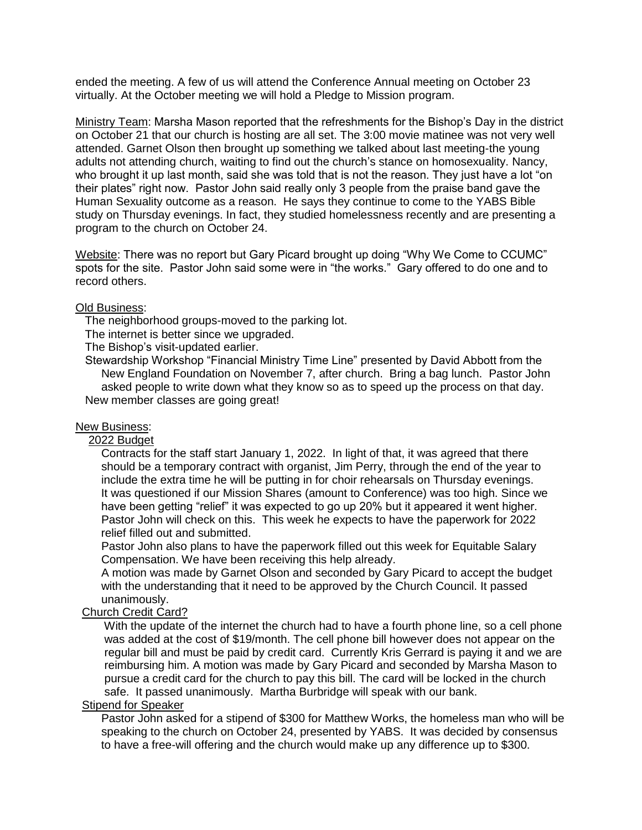ended the meeting. A few of us will attend the Conference Annual meeting on October 23 virtually. At the October meeting we will hold a Pledge to Mission program.

Ministry Team: Marsha Mason reported that the refreshments for the Bishop's Day in the district on October 21 that our church is hosting are all set. The 3:00 movie matinee was not very well attended. Garnet Olson then brought up something we talked about last meeting-the young adults not attending church, waiting to find out the church's stance on homosexuality. Nancy, who brought it up last month, said she was told that is not the reason. They just have a lot "on their plates" right now. Pastor John said really only 3 people from the praise band gave the Human Sexuality outcome as a reason. He says they continue to come to the YABS Bible study on Thursday evenings. In fact, they studied homelessness recently and are presenting a program to the church on October 24.

Website: There was no report but Gary Picard brought up doing "Why We Come to CCUMC" spots for the site. Pastor John said some were in "the works." Gary offered to do one and to record others.

## Old Business:

The neighborhood groups-moved to the parking lot.

The internet is better since we upgraded.

The Bishop's visit-updated earlier.

 Stewardship Workshop "Financial Ministry Time Line" presented by David Abbott from the New England Foundation on November 7, after church. Bring a bag lunch. Pastor John asked people to write down what they know so as to speed up the process on that day. New member classes are going great!

### New Business:

#### 2022 Budget

 Contracts for the staff start January 1, 2022. In light of that, it was agreed that there should be a temporary contract with organist, Jim Perry, through the end of the year to include the extra time he will be putting in for choir rehearsals on Thursday evenings. It was questioned if our Mission Shares (amount to Conference) was too high. Since we have been getting "relief" it was expected to go up 20% but it appeared it went higher. Pastor John will check on this. This week he expects to have the paperwork for 2022 relief filled out and submitted.

 Pastor John also plans to have the paperwork filled out this week for Equitable Salary Compensation. We have been receiving this help already.

 A motion was made by Garnet Olson and seconded by Gary Picard to accept the budget with the understanding that it need to be approved by the Church Council. It passed unanimously.

### Church Credit Card?

 With the update of the internet the church had to have a fourth phone line, so a cell phone was added at the cost of \$19/month. The cell phone bill however does not appear on the regular bill and must be paid by credit card. Currently Kris Gerrard is paying it and we are reimbursing him. A motion was made by Gary Picard and seconded by Marsha Mason to pursue a credit card for the church to pay this bill. The card will be locked in the church safe. It passed unanimously. Martha Burbridge will speak with our bank.

### Stipend for Speaker

 Pastor John asked for a stipend of \$300 for Matthew Works, the homeless man who will be speaking to the church on October 24, presented by YABS. It was decided by consensus to have a free-will offering and the church would make up any difference up to \$300.